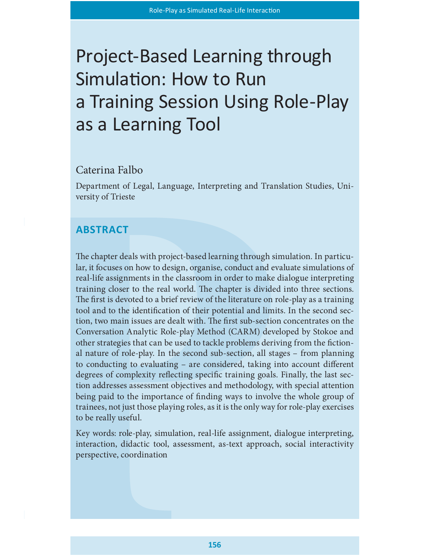# Project-Based Learning through Simulation: How to Run a Training Session Using Role-Play as a Learning Tool

## Caterina Falbo

Department of Legal, Language, Interpreting and Translation Studies, University of Trieste

# **ABSTRACT**

The chapter deals with project-based learning through simulation. In particular, it focuses on how to design, organise, conduct and evaluate simulations of real-life assignments in the classroom in order to make dialogue interpreting training closer to the real world. The chapter is divided into three sections. The first is devoted to a brief review of the literature on role-play as a training tool and to the identification of their potential and limits. In the second section, two main issues are dealt with. The first sub-section concentrates on the Conversation Analytic Role-play Method (CARM) developed by Stokoe and other strategies that can be used to tackle problems deriving from the fictional nature of role-play. In the second sub-section, all stages – from planning to conducting to evaluating – are considered, taking into account different degrees of complexity reflecting specific training goals. Finally, the last section addresses assessment objectives and methodology, with special attention being paid to the importance of finding ways to involve the whole group of trainees, not just those playing roles, as it is the only way for role-play exercises to be really useful.

Key words: role-play, simulation, real-life assignment, dialogue interpreting, interaction, didactic tool, assessment, as-text approach, social interactivity perspective, coordination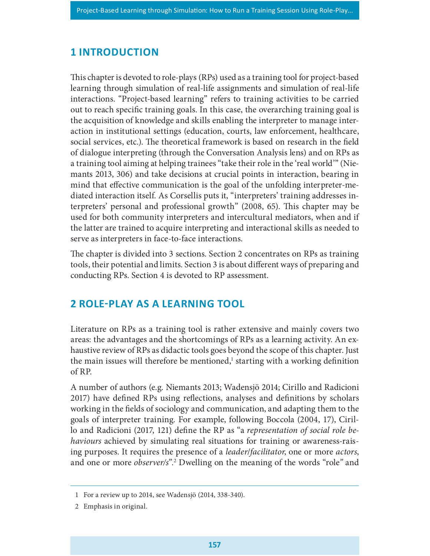# **1 INTRODUCTION**

This chapter is devoted to role-plays (RPs) used as a training tool for project-based learning through simulation of real-life assignments and simulation of real-life interactions. "Project-based learning" refers to training activities to be carried out to reach specific training goals. In this case, the overarching training goal is the acquisition of knowledge and skills enabling the interpreter to manage interaction in institutional settings (education, courts, law enforcement, healthcare, social services, etc.). The theoretical framework is based on research in the field of dialogue interpreting (through the Conversation Analysis lens) and on RPs as a training tool aiming at helping trainees "take their role in the 'real world'" (Niemants 2013, 306) and take decisions at crucial points in interaction, bearing in mind that effective communication is the goal of the unfolding interpreter-mediated interaction itself. As Corsellis puts it, "interpreters' training addresses interpreters' personal and professional growth" (2008, 65). This chapter may be used for both community interpreters and intercultural mediators, when and if the latter are trained to acquire interpreting and interactional skills as needed to serve as interpreters in face-to-face interactions.

The chapter is divided into 3 sections. Section 2 concentrates on RPs as training tools, their potential and limits. Section 3 is about different ways of preparing and conducting RPs. Section 4 is devoted to RP assessment.

# 2 ROLE-PLAY AS A LEARNING TOOL

Literature on RPs as a training tool is rather extensive and mainly covers two areas: the advantages and the shortcomings of RPs as a learning activity. An exhaustive review of RPs as didactic tools goes beyond the scope of this chapter. Just the main issues will therefore be mentioned,<sup>1</sup> starting with a working definition of RP.

A number of authors (e.g. Niemants 2013; Wadensjö 2014; Cirillo and Radicioni 2017) have defined RPs using reflections, analyses and definitions by scholars working in the fields of sociology and communication, and adapting them to the goals of interpreter training. For example, following Boccola (2004, 17), Cirillo and Radicioni (2017, 121) define the RP as "a representation of social role behaviours achieved by simulating real situations for training or awareness-raising purposes. It requires the presence of a *leader/facilitator*, one or more *actors*, and one or more *observer/s*".<sup>2</sup> Dwelling on the meaning of the words "role" and

<sup>1</sup> For a review up to 2014, see Wadensjö (2014, 338-340).

<sup>2</sup> Emphasis in original.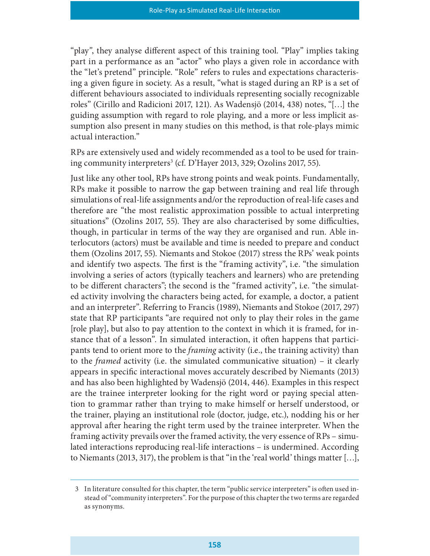"play", they analyse different aspect of this training tool. "Play" implies taking part in a performance as an "actor" who plays a given role in accordance with the "let's pretend" principle. "Role" refers to rules and expectations characterising a given figure in society. As a result, "what is staged during an RP is a set of different behaviours associated to individuals representing socially recognizable roles" (Cirillo and Radicioni 2017, 121). As Wadensjö (2014, 438) notes, "[…] the guiding assumption with regard to role playing, and a more or less implicit assumption also present in many studies on this method, is that role-plays mimic actual interaction."

RPs are extensively used and widely recommended as a tool to be used for training community interpreters<sup>3</sup> (cf. D'Hayer 2013, 329; Ozolins 2017, 55).

Just like any other tool, RPs have strong points and weak points. Fundamentally, RPs make it possible to narrow the gap between training and real life through simulations of real-life assignments and/or the reproduction of real-life cases and therefore are "the most realistic approximation possible to actual interpreting situations" (Ozolins 2017, 55). They are also characterised by some difficulties, though, in particular in terms of the way they are organised and run. Able interlocutors (actors) must be available and time is needed to prepare and conduct them (Ozolins 2017, 55). Niemants and Stokoe (2017) stress the RPs' weak points and identify two aspects. The first is the "framing activity", i.e. "the simulation involving a series of actors (typically teachers and learners) who are pretending to be different characters"; the second is the "framed activity", i.e. "the simulated activity involving the characters being acted, for example, a doctor, a patient and an interpreter". Referring to Francis (1989), Niemants and Stokoe (2017, 297) state that RP participants "are required not only to play their roles in the game [role play], but also to pay attention to the context in which it is framed, for instance that of a lesson". In simulated interaction, it often happens that participants tend to orient more to the framing activity (i.e., the training activity) than to the framed activity (i.e. the simulated communicative situation) – it clearly appears in specific interactional moves accurately described by Niemants (2013) and has also been highlighted by Wadensjö (2014, 446). Examples in this respect are the trainee interpreter looking for the right word or paying special attention to grammar rather than trying to make himself or herself understood, or the trainer, playing an institutional role (doctor, judge, etc.), nodding his or her approval after hearing the right term used by the trainee interpreter. When the framing activity prevails over the framed activity, the very essence of RPs – simulated interactions reproducing real-life interactions – is undermined. According to Niemants (2013, 317), the problem is that "in the 'real world' things matter […],

<sup>3</sup> In literature consulted for this chapter, the term "public service interpreters" is often used instead of "community interpreters". For the purpose of this chapter the two terms are regarded as synonyms.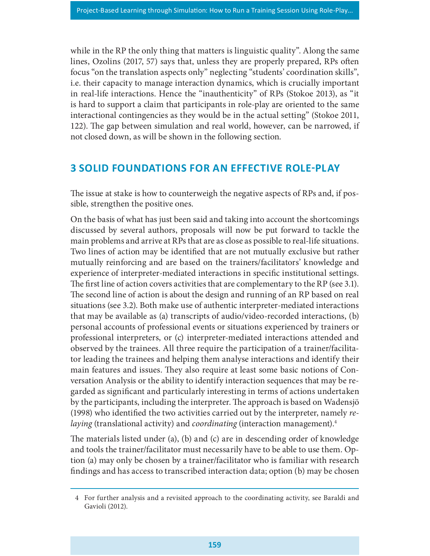while in the RP the only thing that matters is linguistic quality". Along the same lines, Ozolins (2017, 57) says that, unless they are properly prepared, RPs often focus "on the translation aspects only" neglecting "students' coordination skills", i.e. their capacity to manage interaction dynamics, which is crucially important in real-life interactions. Hence the "inauthenticity" of RPs (Stokoe 2013), as "it is hard to support a claim that participants in role-play are oriented to the same interactional contingencies as they would be in the actual setting" (Stokoe 2011, 122). The gap between simulation and real world, however, can be narrowed, if not closed down, as will be shown in the following section.

# 3 SOLID FOUNDATIONS FOR AN EFFECTIVE ROLE-PLAY

The issue at stake is how to counterweigh the negative aspects of RPs and, if possible, strengthen the positive ones.

On the basis of what has just been said and taking into account the shortcomings discussed by several authors, proposals will now be put forward to tackle the main problems and arrive at RPs that are as close as possible to real-life situations. Two lines of action may be identified that are not mutually exclusive but rather mutually reinforcing and are based on the trainers/facilitators' knowledge and experience of interpreter-mediated interactions in specific institutional settings. The first line of action covers activities that are complementary to the RP (see 3.1). The second line of action is about the design and running of an RP based on real situations (see 3.2). Both make use of authentic interpreter-mediated interactions that may be available as (a) transcripts of audio/video-recorded interactions, (b) personal accounts of professional events or situations experienced by trainers or professional interpreters, or (c) interpreter-mediated interactions attended and observed by the trainees. All three require the participation of a trainer/facilitator leading the trainees and helping them analyse interactions and identify their main features and issues. They also require at least some basic notions of Conversation Analysis or the ability to identify interaction sequences that may be regarded as signicant and particularly interesting in terms of actions undertaken by the participants, including the interpreter. The approach is based on Wadensjö (1998) who identified the two activities carried out by the interpreter, namely  $re$ laying (translational activity) and *coordinating* (interaction management).<sup>4</sup>

The materials listed under (a), (b) and (c) are in descending order of knowledge and tools the trainer/facilitator must necessarily have to be able to use them. Option (a) may only be chosen by a trainer/facilitator who is familiar with research findings and has access to transcribed interaction data; option (b) may be chosen

<sup>4</sup> For further analysis and a revisited approach to the coordinating activity, see Baraldi and Gavioli (2012).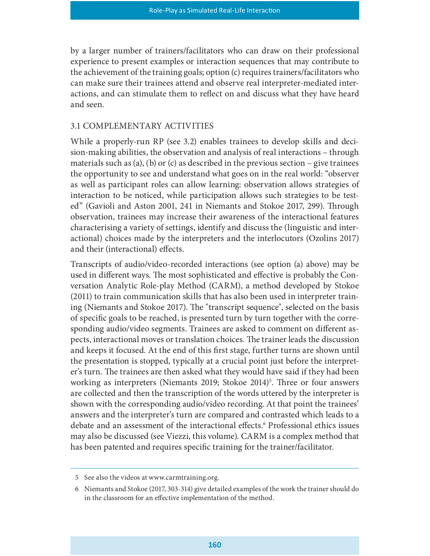by a larger number of trainers/facilitators who can draw on their professional experience to present examples or interaction sequences that may contribute to the achievement of the training goals; option (c) requires trainers/facilitators who can make sure their trainees attend and observe real interpreter-mediated interactions, and can stimulate them to reflect on and discuss what they have heard and seen.

#### 3.1 COMPLEMENTARY ACTIVITIES

While a properly-run RP (see 3.2) enables trainees to develop skills and decision-making abilities, the observation and analysis of real interactions – through materials such as (a), (b) or (c) as described in the previous section – give trainees the opportunity to see and understand what goes on in the real world: "observer as well as participant roles can allow learning: observation allows strategies of interaction to be noticed, while participation allows such strategies to be tested" (Gavioli and Aston 2001, 241 in Niemants and Stokoe 2017, 299). Through observation, trainees may increase their awareness of the interactional features characterising a variety of settings, identify and discuss the (linguistic and interactional) choices made by the interpreters and the interlocutors (Ozolins 2017) and their (interactional) effects.

Transcripts of audio/video-recorded interactions (see option (a) above) may be used in different ways. The most sophisticated and effective is probably the Conversation Analytic Role-play Method (CARM), a method developed by Stokoe (2011) to train communication skills that has also been used in interpreter training (Niemants and Stokoe 2017). The "transcript sequence", selected on the basis of specific goals to be reached, is presented turn by turn together with the corresponding audio/video segments. Trainees are asked to comment on different aspects, interactional moves or translation choices. The trainer leads the discussion and keeps it focused. At the end of this first stage, further turns are shown until the presentation is stopped, typically at a crucial point just before the interpreter's turn. The trainees are then asked what they would have said if they had been working as interpreters (Niemants 2019; Stokoe 2014)<sup>5</sup>. Three or four answers are collected and then the transcription of the words uttered by the interpreter is shown with the corresponding audio/video recording. At that point the trainees' answers and the interpreter's turn are compared and contrasted which leads to a debate and an assessment of the interactional effects.<sup>6</sup> Professional ethics issues may also be discussed (see Viezzi, this volume). CARM is a complex method that has been patented and requires specific training for the trainer/facilitator.

<sup>5</sup> See also the videos at www.carmtraining.org.

<sup>6</sup> Niemants and Stokoe (2017, 303-314) give detailed examples of the work the trainer should do in the classroom for an effective implementation of the method.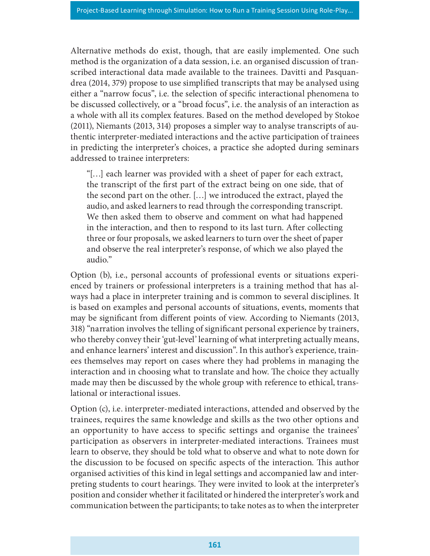Alternative methods do exist, though, that are easily implemented. One such method is the organization of a data session, i.e. an organised discussion of transcribed interactional data made available to the trainees. Davitti and Pasquandrea (2014, 379) propose to use simplied transcripts that may be analysed using either a "narrow focus", i.e. the selection of specific interactional phenomena to be discussed collectively, or a "broad focus", i.e. the analysis of an interaction as a whole with all its complex features. Based on the method developed by Stokoe (2011), Niemants (2013, 314) proposes a simpler way to analyse transcripts of authentic interpreter-mediated interactions and the active participation of trainees in predicting the interpreter's choices, a practice she adopted during seminars addressed to trainee interpreters:

"[…] each learner was provided with a sheet of paper for each extract, the transcript of the first part of the extract being on one side, that of the second part on the other. […] we introduced the extract, played the audio, and asked learners to read through the corresponding transcript. We then asked them to observe and comment on what had happened in the interaction, and then to respond to its last turn. After collecting three or four proposals, we asked learners to turn over the sheet of paper and observe the real interpreter's response, of which we also played the audio."

Option (b), i.e., personal accounts of professional events or situations experienced by trainers or professional interpreters is a training method that has always had a place in interpreter training and is common to several disciplines. It is based on examples and personal accounts of situations, events, moments that may be significant from different points of view. According to Niemants (2013, 318) "narration involves the telling of signicant personal experience by trainers, who thereby convey their 'gut-level' learning of what interpreting actually means, and enhance learners' interest and discussion". In this author's experience, trainees themselves may report on cases where they had problems in managing the interaction and in choosing what to translate and how. The choice they actually made may then be discussed by the whole group with reference to ethical, translational or interactional issues.

Option (c), i.e. interpreter-mediated interactions, attended and observed by the trainees, requires the same knowledge and skills as the two other options and an opportunity to have access to specific settings and organise the trainees' participation as observers in interpreter-mediated interactions. Trainees must learn to observe, they should be told what to observe and what to note down for the discussion to be focused on specific aspects of the interaction. This author organised activities of this kind in legal settings and accompanied law and interpreting students to court hearings. They were invited to look at the interpreter's position and consider whether it facilitated or hindered the interpreter's work and communication between the participants; to take notes as to when the interpreter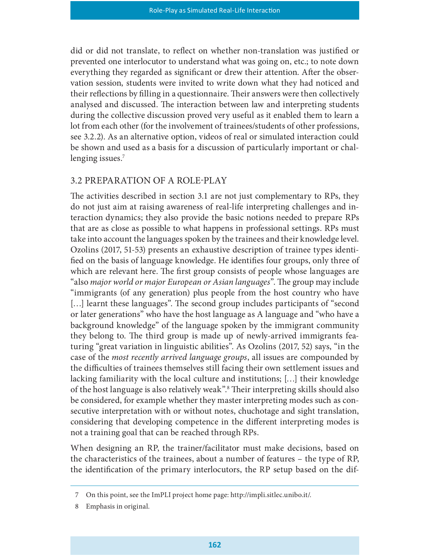did or did not translate, to reflect on whether non-translation was justified or prevented one interlocutor to understand what was going on, etc.; to note down everything they regarded as significant or drew their attention. After the observation session, students were invited to write down what they had noticed and their reflections by filling in a questionnaire. Their answers were then collectively analysed and discussed. The interaction between law and interpreting students during the collective discussion proved very useful as it enabled them to learn a lot from each other (for the involvement of trainees/students of other professions, see 3.2.2). As an alternative option, videos of real or simulated interaction could be shown and used as a basis for a discussion of particularly important or challenging issues.<sup>7</sup>

#### 3.2 PREPARATION OF A ROLE-PLAY

The activities described in section 3.1 are not just complementary to RPs, they do not just aim at raising awareness of real-life interpreting challenges and interaction dynamics; they also provide the basic notions needed to prepare RPs that are as close as possible to what happens in professional settings. RPs must take into account the languages spoken by the trainees and their knowledge level. Ozolins (2017, 51-53) presents an exhaustive description of trainee types identi fied on the basis of language knowledge. He identifies four groups, only three of which are relevant here. The first group consists of people whose languages are "also *major world or major European or Asian languages*". The group may include "immigrants (of any generation) plus people from the host country who have [...] learnt these languages". The second group includes participants of "second or later generations" who have the host language as A language and "who have a background knowledge" of the language spoken by the immigrant community they belong to. The third group is made up of newly-arrived immigrants featuring "great variation in linguistic abilities". As Ozolins (2017, 52) says, "in the case of the most recently arrived language groups, all issues are compounded by the difficulties of trainees themselves still facing their own settlement issues and lacking familiarity with the local culture and institutions; […] their knowledge of the host language is also relatively weak".<sup>8</sup> Their interpreting skills should also be considered, for example whether they master interpreting modes such as consecutive interpretation with or without notes, chuchotage and sight translation, considering that developing competence in the different interpreting modes is not a training goal that can be reached through RPs.

When designing an RP, the trainer/facilitator must make decisions, based on the characteristics of the trainees, about a number of features – the type of RP, the identication of the primary interlocutors, the RP setup based on the dif-

<sup>7</sup> On this point, see the ImPLI project home page: http://impli.sitlec.unibo.it/.

<sup>8</sup> Emphasis in original.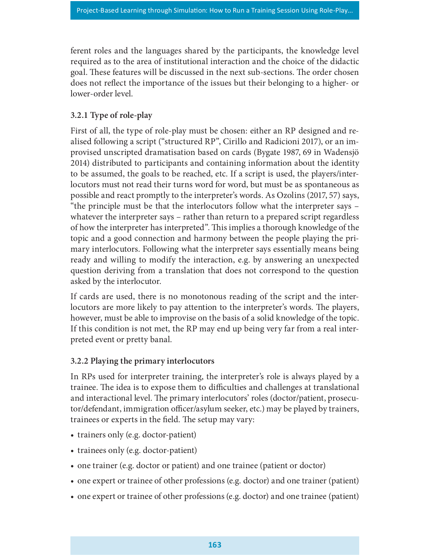ferent roles and the languages shared by the participants, the knowledge level required as to the area of institutional interaction and the choice of the didactic goal. These features will be discussed in the next sub-sections. The order chosen does not reflect the importance of the issues but their belonging to a higher- or lower-order level.

## 3.2.1 Type of role-play

First of all, the type of role-play must be chosen: either an RP designed and realised following a script ("structured RP", Cirillo and Radicioni 2017), or an improvised unscripted dramatisation based on cards (Bygate 1987, 69 in Wadensjö 2014) distributed to participants and containing information about the identity to be assumed, the goals to be reached, etc. If a script is used, the players/interlocutors must not read their turns word for word, but must be as spontaneous as possible and react promptly to the interpreter's words. As Ozolins (2017, 57) says, "the principle must be that the interlocutors follow what the interpreter says – whatever the interpreter says – rather than return to a prepared script regardless of how the interpreter has interpreted". This implies a thorough knowledge of the topic and a good connection and harmony between the people playing the primary interlocutors. Following what the interpreter says essentially means being ready and willing to modify the interaction, e.g. by answering an unexpected question deriving from a translation that does not correspond to the question asked by the interlocutor.

If cards are used, there is no monotonous reading of the script and the interlocutors are more likely to pay attention to the interpreter's words. The players, however, must be able to improvise on the basis of a solid knowledge of the topic. If this condition is not met, the RP may end up being very far from a real interpreted event or pretty banal.

#### 3.2.2 Playing the primary interlocutors

In RPs used for interpreter training, the interpreter's role is always played by a trainee. The idea is to expose them to difficulties and challenges at translational and interactional level. The primary interlocutors' roles (doctor/patient, prosecutor/defendant, immigration officer/asylum seeker, etc.) may be played by trainers, trainees or experts in the field. The setup may vary:

- trainers only (e.g. doctor-patient)
- trainees only (e.g. doctor-patient)
- one trainer (e.g. doctor or patient) and one trainee (patient or doctor)
- one expert or trainee of other professions (e.g. doctor) and one trainer (patient)
- one expert or trainee of other professions (e.g. doctor) and one trainee (patient)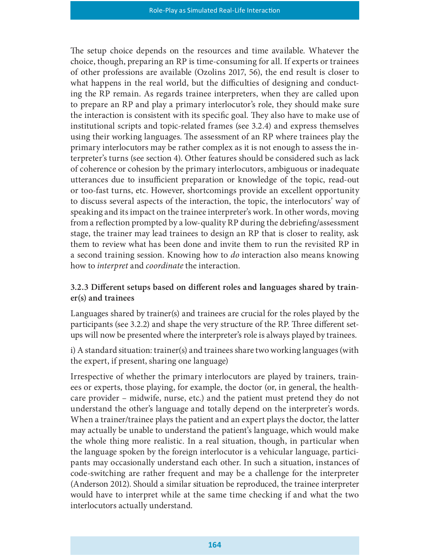The setup choice depends on the resources and time available. Whatever the choice, though, preparing an RP is time-consuming for all. If experts or trainees of other professions are available (Ozolins 2017, 56), the end result is closer to what happens in the real world, but the difficulties of designing and conducting the RP remain. As regards trainee interpreters, when they are called upon to prepare an RP and play a primary interlocutor's role, they should make sure the interaction is consistent with its specific goal. They also have to make use of institutional scripts and topic-related frames (see 3.2.4) and express themselves using their working languages. The assessment of an RP where trainees play the primary interlocutors may be rather complex as it is not enough to assess the interpreter's turns (see section 4). Other features should be considered such as lack of coherence or cohesion by the primary interlocutors, ambiguous or inadequate utterances due to insufficient preparation or knowledge of the topic, read-out or too-fast turns, etc. However, shortcomings provide an excellent opportunity to discuss several aspects of the interaction, the topic, the interlocutors' way of speaking and its impact on the trainee interpreter's work. In other words, moving from a reflection prompted by a low-quality RP during the debriefing/assessment stage, the trainer may lead trainees to design an RP that is closer to reality, ask them to review what has been done and invite them to run the revisited RP in a second training session. Knowing how to do interaction also means knowing how to interpret and coordinate the interaction.

#### 3.2.3 DiHerent setups based on diHerent roles and languages shared by trainer(s) and trainees

Languages shared by trainer(s) and trainees are crucial for the roles played by the participants (see 3.2.2) and shape the very structure of the RP. Three different setups will now be presented where the interpreter's role is always played by trainees.

i) A standard situation: trainer(s) and trainees share two working languages (with the expert, if present, sharing one language)

Irrespective of whether the primary interlocutors are played by trainers, trainees or experts, those playing, for example, the doctor (or, in general, the healthcare provider – midwife, nurse, etc.) and the patient must pretend they do not understand the other's language and totally depend on the interpreter's words. When a trainer/trainee plays the patient and an expert plays the doctor, the latter may actually be unable to understand the patient's language, which would make the whole thing more realistic. In a real situation, though, in particular when the language spoken by the foreign interlocutor is a vehicular language, participants may occasionally understand each other. In such a situation, instances of code-switching are rather frequent and may be a challenge for the interpreter (Anderson 2012). Should a similar situation be reproduced, the trainee interpreter would have to interpret while at the same time checking if and what the two interlocutors actually understand.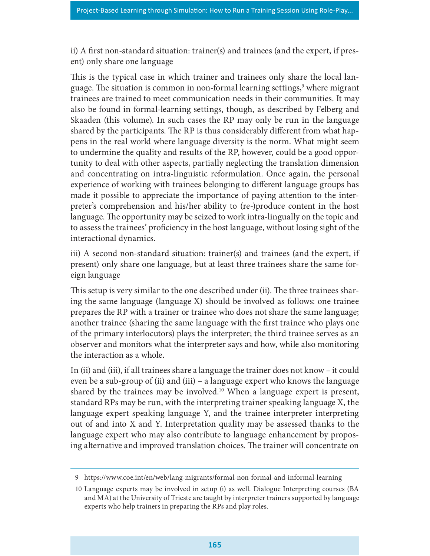ii) A first non-standard situation: trainer(s) and trainees (and the expert, if present) only share one language

This is the typical case in which trainer and trainees only share the local language. The situation is common in non-formal learning settings,<sup>9</sup> where migrant trainees are trained to meet communication needs in their communities. It may also be found in formal-learning settings, though, as described by Felberg and Skaaden (this volume). In such cases the RP may only be run in the language shared by the participants. The RP is thus considerably different from what happens in the real world where language diversity is the norm. What might seem to undermine the quality and results of the RP, however, could be a good opportunity to deal with other aspects, partially neglecting the translation dimension and concentrating on intra-linguistic reformulation. Once again, the personal experience of working with trainees belonging to different language groups has made it possible to appreciate the importance of paying attention to the interpreter's comprehension and his/her ability to (re-)produce content in the host language. The opportunity may be seized to work intra-lingually on the topic and to assess the trainees' proficiency in the host language, without losing sight of the interactional dynamics.

iii) A second non-standard situation: trainer(s) and trainees (and the expert, if present) only share one language, but at least three trainees share the same foreign language

This setup is very similar to the one described under (ii). The three trainees sharing the same language (language X) should be involved as follows: one trainee prepares the RP with a trainer or trainee who does not share the same language; another trainee (sharing the same language with the first trainee who plays one of the primary interlocutors) plays the interpreter; the third trainee serves as an observer and monitors what the interpreter says and how, while also monitoring the interaction as a whole.

In (ii) and (iii), if all trainees share a language the trainer does not know – it could even be a sub-group of (ii) and (iii) – a language expert who knows the language shared by the trainees may be involved.<sup>10</sup> When a language expert is present, standard RPs may be run, with the interpreting trainer speaking language X, the language expert speaking language Y, and the trainee interpreter interpreting out of and into X and Y. Interpretation quality may be assessed thanks to the language expert who may also contribute to language enhancement by proposing alternative and improved translation choices. The trainer will concentrate on

<sup>9</sup> https://www.coe.int/en/web/lang-migrants/formal-non-formal-and-informal-learning

<sup>10</sup> Language experts may be involved in setup (i) as well. Dialogue Interpreting courses (BA and MA) at the University of Trieste are taught by interpreter trainers supported by language experts who help trainers in preparing the RPs and play roles.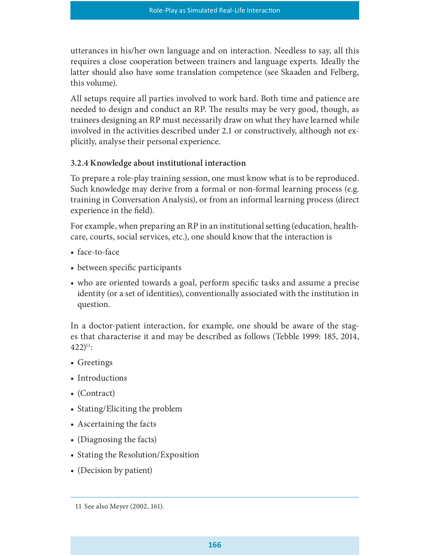utterances in his/her own language and on interaction. Needless to say, all this requires a close cooperation between trainers and language experts. Ideally the latter should also have some translation competence (see Skaaden and Felberg, this volume).

All setups require all parties involved to work hard. Both time and patience are needed to design and conduct an RP. The results may be very good, though, as trainees designing an RP must necessarily draw on what they have learned while involved in the activities described under 2.1 or constructively, although not explicitly, analyse their personal experience.

#### 3.2.4 Knowledge about institutional interaction

To prepare a role-play training session, one must know what is to be reproduced. Such knowledge may derive from a formal or non-formal learning process (e.g. training in Conversation Analysis), or from an informal learning process (direct experience in the field).

For example, when preparing an RP in an institutional setting (education, healthcare, courts, social services, etc.), one should know that the interaction is

- face-to-face
- between specific participants
- who are oriented towards a goal, perform specific tasks and assume a precise identity (or a set of identities), conventionally associated with the institution in question.

In a doctor-patient interaction, for example, one should be aware of the stages that characterise it and may be described as follows (Tebble 1999: 185, 2014,  $422)$ <sup>11</sup>:

- Greetings
- Introductions
- (Contract)
- Stating/Eliciting the problem
- Ascertaining the facts
- (Diagnosing the facts)
- Stating the Resolution/Exposition
- (Decision by patient)

<sup>11</sup> See also Meyer (2002, 161).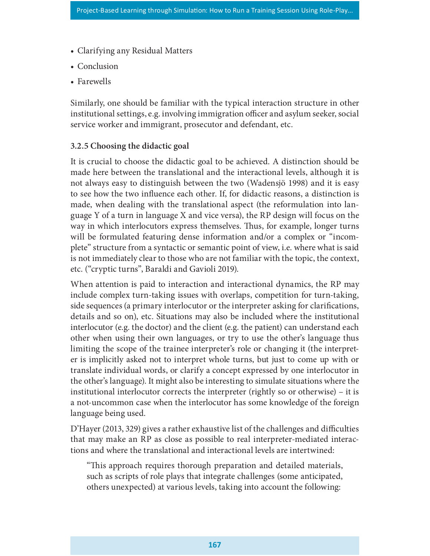- Clarifying any Residual Matters
- Conclusion
- Farewells

Similarly, one should be familiar with the typical interaction structure in other institutional settings, e.g. involving immigration officer and asylum seeker, social service worker and immigrant, prosecutor and defendant, etc.

#### 3.2.5 Choosing the didactic goal

It is crucial to choose the didactic goal to be achieved. A distinction should be made here between the translational and the interactional levels, although it is not always easy to distinguish between the two (Wadensjö 1998) and it is easy to see how the two influence each other. If, for didactic reasons, a distinction is made, when dealing with the translational aspect (the reformulation into language Y of a turn in language X and vice versa), the RP design will focus on the way in which interlocutors express themselves. Thus, for example, longer turns will be formulated featuring dense information and/or a complex or "incomplete" structure from a syntactic or semantic point of view, i.e. where what is said is not immediately clear to those who are not familiar with the topic, the context, etc. ("cryptic turns", Baraldi and Gavioli 2019).

When attention is paid to interaction and interactional dynamics, the RP may include complex turn-taking issues with overlaps, competition for turn-taking, side sequences (a primary interlocutor or the interpreter asking for clarifications, details and so on), etc. Situations may also be included where the institutional interlocutor (e.g. the doctor) and the client (e.g. the patient) can understand each other when using their own languages, or try to use the other's language thus limiting the scope of the trainee interpreter's role or changing it (the interpreter is implicitly asked not to interpret whole turns, but just to come up with or translate individual words, or clarify a concept expressed by one interlocutor in the other's language). It might also be interesting to simulate situations where the institutional interlocutor corrects the interpreter (rightly so or otherwise) – it is a not-uncommon case when the interlocutor has some knowledge of the foreign language being used.

 $D'Hayer$  (2013, 329) gives a rather exhaustive list of the challenges and difficulties that may make an RP as close as possible to real interpreter-mediated interactions and where the translational and interactional levels are intertwined:<br>"This approach requires thorough preparation and detailed materials,

such as scripts of role plays that integrate challenges (some anticipated, others unexpected) at various levels, taking into account the following: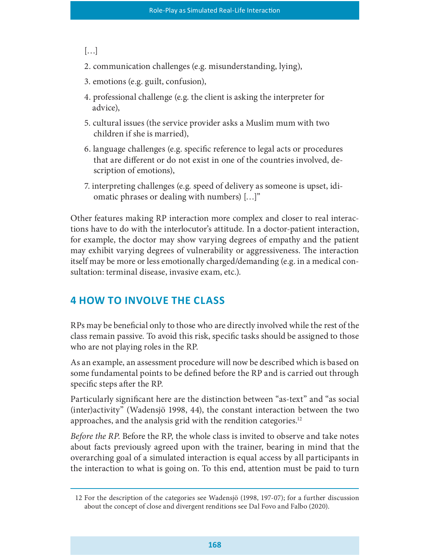[…]

2. communication challenges (e.g. misunderstanding, lying),

3. emotions (e.g. guilt, confusion),

- 4. professional challenge (e.g. the client is asking the interpreter for advice),
- 5. cultural issues (the service provider asks a Muslim mum with two children if she is married),
- 6. language challenges (e.g. specific reference to legal acts or procedures that are different or do not exist in one of the countries involved, description of emotions),
- 7. interpreting challenges (e.g. speed of delivery as someone is upset, idiomatic phrases or dealing with numbers) […]"

Other features making RP interaction more complex and closer to real interactions have to do with the interlocutor's attitude. In a doctor-patient interaction, for example, the doctor may show varying degrees of empathy and the patient may exhibit varying degrees of vulnerability or aggressiveness. The interaction itself may be more or less emotionally charged/demanding (e.g. in a medical consultation: terminal disease, invasive exam, etc.).

# **4 HOW TO INVOLVE THE CLASS**

RPs may be beneficial only to those who are directly involved while the rest of the class remain passive. To avoid this risk, specific tasks should be assigned to those who are not playing roles in the RP.

As an example, an assessment procedure will now be described which is based on some fundamental points to be defined before the RP and is carried out through specific steps after the RP.

Particularly significant here are the distinction between "as-text" and "as social (inter)activity" (Wadensjö 1998, 44), the constant interaction between the two approaches, and the analysis grid with the rendition categories.<sup>12</sup>

Before the RP. Before the RP, the whole class is invited to observe and take notes about facts previously agreed upon with the trainer, bearing in mind that the overarching goal of a simulated interaction is equal access by all participants in the interaction to what is going on. To this end, attention must be paid to turn

<sup>12</sup> For the description of the categories see Wadensjö (1998, 197-07); for a further discussion about the concept of close and divergent renditions see Dal Fovo and Falbo (2020).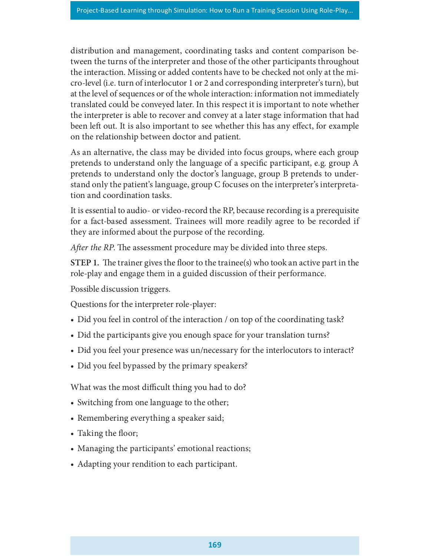distribution and management, coordinating tasks and content comparison between the turns of the interpreter and those of the other participants throughout the interaction. Missing or added contents have to be checked not only at the micro-level (i.e. turn of interlocutor 1 or 2 and corresponding interpreter's turn), but at the level of sequences or of the whole interaction: information not immediately translated could be conveyed later. In this respect it is important to note whether the interpreter is able to recover and convey at a later stage information that had been left out. It is also important to see whether this has any effect, for example on the relationship between doctor and patient.

As an alternative, the class may be divided into focus groups, where each group pretends to understand only the language of a specific participant, e.g. group A pretends to understand only the doctor's language, group B pretends to understand only the patient's language, group C focuses on the interpreter's interpretation and coordination tasks.

It is essential to audio- or video-record the RP, because recording is a prerequisite for a fact-based assessment. Trainees will more readily agree to be recorded if they are informed about the purpose of the recording.

After the RP. The assessment procedure may be divided into three steps.

STEP 1. The trainer gives the floor to the trainee(s) who took an active part in the role-play and engage them in a guided discussion of their performance.

Possible discussion triggers.

Questions for the interpreter role-player:

- Did you feel in control of the interaction / on top of the coordinating task?
- Did the participants give you enough space for your translation turns?
- Did you feel your presence was un/necessary for the interlocutors to interact?
- Did you feel bypassed by the primary speakers?

What was the most difficult thing you had to do?

- Switching from one language to the other;
- Remembering everything a speaker said;
- Taking the floor;
- Managing the participants' emotional reactions;
- Adapting your rendition to each participant.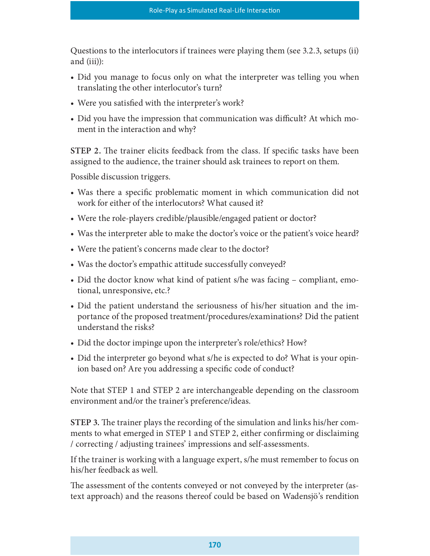Questions to the interlocutors if trainees were playing them (see 3.2.3, setups (ii) and (iii)):

- Did you manage to focus only on what the interpreter was telling you when translating the other interlocutor's turn?
- Were you satisfied with the interpreter's work?
- Did you have the impression that communication was difficult? At which moment in the interaction and why?

STEP 2. The trainer elicits feedback from the class. If specific tasks have been assigned to the audience, the trainer should ask trainees to report on them.

Possible discussion triggers.

- Was there a specific problematic moment in which communication did not work for either of the interlocutors? What caused it?
- Were the role-players credible/plausible/engaged patient or doctor?
- Was the interpreter able to make the doctor's voice or the patient's voice heard?
- Were the patient's concerns made clear to the doctor?
- Was the doctor's empathic attitude successfully conveyed?
- Did the doctor know what kind of patient s/he was facing compliant, emotional, unresponsive, etc.?
- Did the patient understand the seriousness of his/her situation and the importance of the proposed treatment/procedures/examinations? Did the patient understand the risks?
- Did the doctor impinge upon the interpreter's role/ethics? How?
- Did the interpreter go beyond what s/he is expected to do? What is your opinion based on? Are you addressing a specific code of conduct?

Note that STEP 1 and STEP 2 are interchangeable depending on the classroom environment and/or the trainer's preference/ideas.

STEP 3. The trainer plays the recording of the simulation and links his/her comments to what emerged in STEP 1 and STEP 2, either confirming or disclaiming / correcting / adjusting trainees' impressions and self-assessments.

If the trainer is working with a language expert, s/he must remember to focus on his/her feedback as well.

The assessment of the contents conveyed or not conveyed by the interpreter (astext approach) and the reasons thereof could be based on Wadensjö's rendition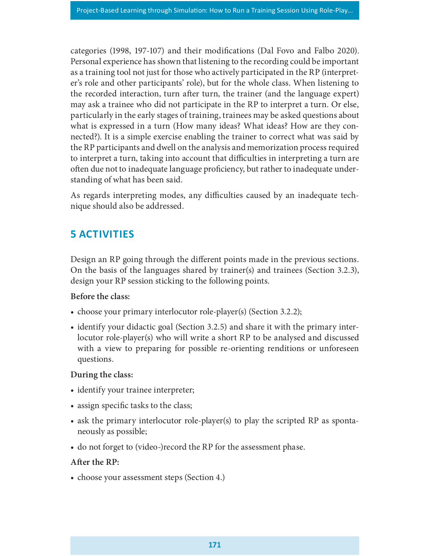categories (1998, 197-107) and their modifications (Dal Fovo and Falbo 2020). Personal experience has shown that listening to the recording could be important as a training tool not just for those who actively participated in the RP (interpreter's role and other participants' role), but for the whole class. When listening to the recorded interaction, turn after turn, the trainer (and the language expert) may ask a trainee who did not participate in the RP to interpret a turn. Or else, particularly in the early stages of training, trainees may be asked questions about what is expressed in a turn (How many ideas? What ideas? How are they connected?). It is a simple exercise enabling the trainer to correct what was said by the RP participants and dwell on the analysis and memorization process required to interpret a turn, taking into account that difficulties in interpreting a turn are often due not to inadequate language proficiency, but rather to inadequate understanding of what has been said.

As regards interpreting modes, any difficulties caused by an inadequate technique should also be addressed.

# 5 ACTIVITIES

Design an RP going through the different points made in the previous sections. On the basis of the languages shared by trainer(s) and trainees (Section 3.2.3), design your RP session sticking to the following points.

#### Before the class:

- choose your primary interlocutor role-player(s) (Section 3.2.2);
- identify your didactic goal (Section 3.2.5) and share it with the primary interlocutor role-player(s) who will write a short RP to be analysed and discussed with a view to preparing for possible re-orienting renditions or unforeseen questions.

#### During the class:

- identify your trainee interpreter;
- assign specific tasks to the class;
- ask the primary interlocutor role-player(s) to play the scripted RP as spontaneously as possible;
- do not forget to (video-)record the RP for the assessment phase.

#### After the RP:

• choose your assessment steps (Section 4.)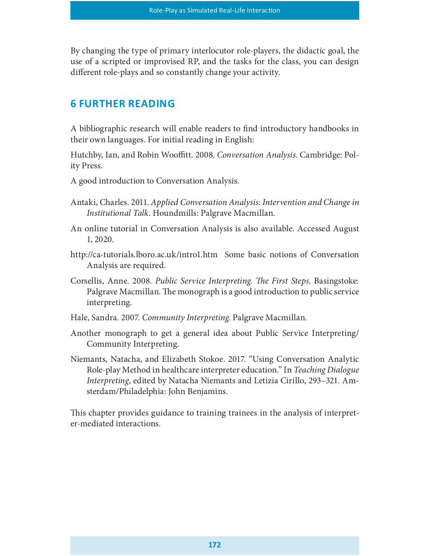By changing the type of primary interlocutor role-players, the didactic goal, the use of a scripted or improvised RP, and the tasks for the class, you can design different role-plays and so constantly change your activity.

# **6 FURTHER READING**

A bibliographic research will enable readers to find introductory handbooks in their own languages. For initial reading in English:

Hutchby, Ian, and Robin Wooffitt. 2008. Conversation Analysis. Cambridge: Polity Press.

- A good introduction to Conversation Analysis.
- Antaki, Charles. 2011. Applied Conversation Analysis: Intervention and Change in Institutional Talk. Houndmills: Palgrave Macmillan.
- An online tutorial in Conversation Analysis is also available. Accessed August 1, 2020.
- http://ca-tutorials.lboro.ac.uk/intro1.htm Some basic notions of Conversation Analysis are required.
- Corsellis, Anne. 2008. Public Service Interpreting. The First Steps. Basingstoke: Palgrave Macmillan. The monograph is a good introduction to public service interpreting.
- Hale, Sandra. 2007. Community Interpreting. Palgrave Macmillan.
- Another monograph to get a general idea about Public Service Interpreting/ Community Interpreting.
- Niemants, Natacha, and Elizabeth Stokoe. 2017. "Using Conversation Analytic Role-play Method in healthcare interpreter education." In Teaching Dialogue Interpreting, edited by Natacha Niemants and Letizia Cirillo, 293–321. Amsterdam/Philadelphia: John Benjamins.

This chapter provides guidance to training trainees in the analysis of interpreter-mediated interactions.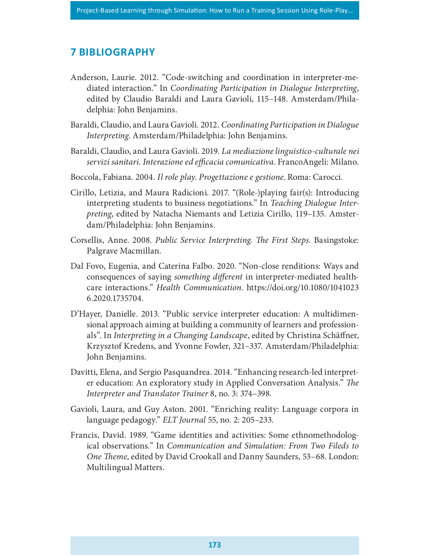## **7 BIBLIOGRAPHY**

- Anderson, Laurie. 2012. "Code-switching and coordination in interpreter-mediated interaction." In Coordinating Participation in Dialogue Interpreting, edited by Claudio Baraldi and Laura Gavioli, 115–148. Amsterdam/Philadelphia: John Benjamins.
- Baraldi, Claudio, and Laura Gavioli. 2012. Coordinating Participation in Dialogue Interpreting. Amsterdam/Philadelphia: John Benjamins.
- Baraldi, Claudio, and Laura Gavioli. 2019. La mediazione linguistico-culturale nei servizi sanitari. Interazione ed efficacia comunicativa. FrancoAngeli: Milano.
- Boccola, Fabiana. 2004. Il role play. Progettazione e gestione. Roma: Carocci.
- Cirillo, Letizia, and Maura Radicioni. 2017. "(Role-)playing fair(s): Introducing interpreting students to business negotiations." In Teaching Dialogue Interpreting, edited by Natacha Niemants and Letizia Cirillo, 119–135. Amsterdam/Philadelphia: John Benjamins.
- Corsellis, Anne. 2008. Public Service Interpreting. The First Steps. Basingstoke: Palgrave Macmillan.
- Dal Fovo, Eugenia, and Caterina Falbo. 2020. "Non-close renditions: Ways and consequences of saying *something different* in interpreter-mediated healthcare interactions." Health Communication. https://doi.org/10.1080/1041023 6.2020.1735704.
- D'Hayer, Danielle. 2013. "Public service interpreter education: A multidimensional approach aiming at building a community of learners and professionals". In Interpreting in a Changing Landscape, edited by Christina Schäffner, Krzysztof Kredens, and Yvonne Fowler, 321–337. Amsterdam/Philadelphia: John Benjamins.
- Davitti, Elena, and Sergio Pasquandrea. 2014. "Enhancing research-led interpreter education: An exploratory study in Applied Conversation Analysis." The Interpreter and Translator Trainer 8, no. 3: 374–398.
- Gavioli, Laura, and Guy Aston. 2001. "Enriching reality: Language corpora in language pedagogy." ELT Journal 55, no. 2: 205–233.
- Francis, David. 1989. "Game identities and activities: Some ethnomethodological observations." In Communication and Simulation: From Two Fileds to One Theme, edited by David Crookall and Danny Saunders, 53–68. London: Multilingual Matters.